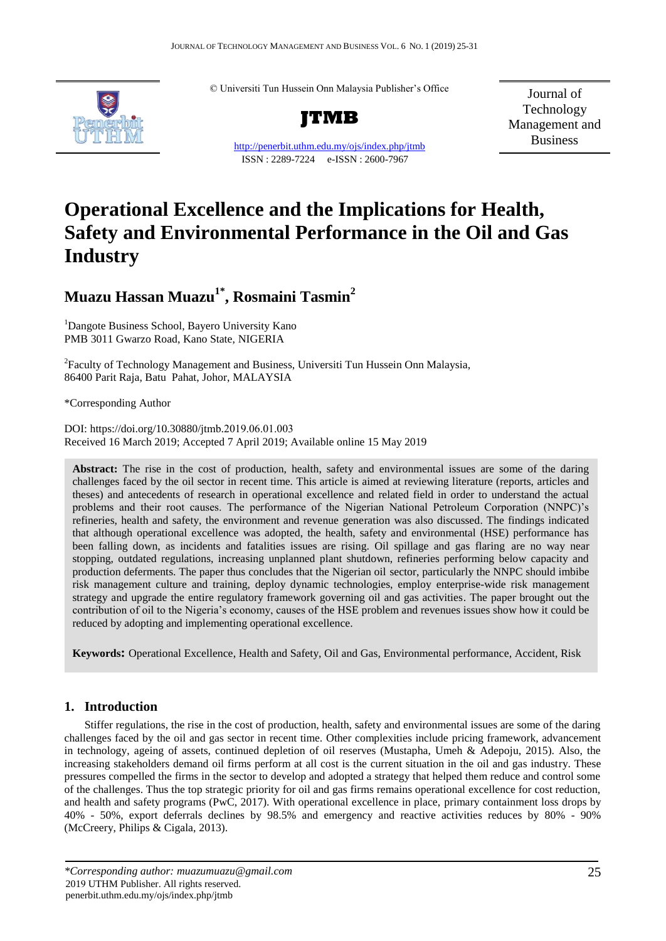© Universiti Tun Hussein Onn Malaysia Publisher's Office



**JTMB**

http://penerbit.uthm.edu.my/ojs/index.php/jtmb ISSN : 2289-7224 e-ISSN : 2600-7967

Journal of Technology Management and Business

# **Operational Excellence and the Implications for Health, Safety and Environmental Performance in the Oil and Gas Industry**

# **Muazu Hassan Muazu1\*, Rosmaini Tasmin<sup>2</sup>**

<sup>1</sup>Dangote Business School, Bayero University Kano PMB 3011 Gwarzo Road, Kano State, NIGERIA

<sup>2</sup> Faculty of Technology Management and Business, Universiti Tun Hussein Onn Malaysia, 86400 Parit Raja, Batu Pahat, Johor, MALAYSIA

\*Corresponding Author

DOI: https://doi.org/10.30880/jtmb.2019.06.01.003 Received 16 March 2019; Accepted 7 April 2019; Available online 15 May 2019

**Abstract:** The rise in the cost of production, health, safety and environmental issues are some of the daring challenges faced by the oil sector in recent time. This article is aimed at reviewing literature (reports, articles and theses) and antecedents of research in operational excellence and related field in order to understand the actual problems and their root causes. The performance of the Nigerian National Petroleum Corporation (NNPC)'s refineries, health and safety, the environment and revenue generation was also discussed. The findings indicated that although operational excellence was adopted, the health, safety and environmental (HSE) performance has been falling down, as incidents and fatalities issues are rising. Oil spillage and gas flaring are no way near stopping, outdated regulations, increasing unplanned plant shutdown, refineries performing below capacity and production deferments. The paper thus concludes that the Nigerian oil sector, particularly the NNPC should imbibe risk management culture and training, deploy dynamic technologies, employ enterprise-wide risk management strategy and upgrade the entire regulatory framework governing oil and gas activities. The paper brought out the contribution of oil to the Nigeria's economy, causes of the HSE problem and revenues issues show how it could be reduced by adopting and implementing operational excellence.

**Keywords:** Operational Excellence, Health and Safety, Oil and Gas, Environmental performance, Accident, Risk

## **1. Introduction**

Stiffer regulations, the rise in the cost of production, health, safety and environmental issues are some of the daring challenges faced by the oil and gas sector in recent time. Other complexities include pricing framework, advancement in technology, ageing of assets, continued depletion of oil reserves (Mustapha, Umeh & Adepoju, 2015). Also, the increasing stakeholders demand oil firms perform at all cost is the current situation in the oil and gas industry. These pressures compelled the firms in the sector to develop and adopted a strategy that helped them reduce and control some of the challenges. Thus the top strategic priority for oil and gas firms remains operational excellence for cost reduction, and health and safety programs (PwC, 2017). With operational excellence in place, primary containment loss drops by 40% - 50%, export deferrals declines by 98.5% and emergency and reactive activities reduces by 80% - 90% (McCreery, Philips & Cigala, 2013).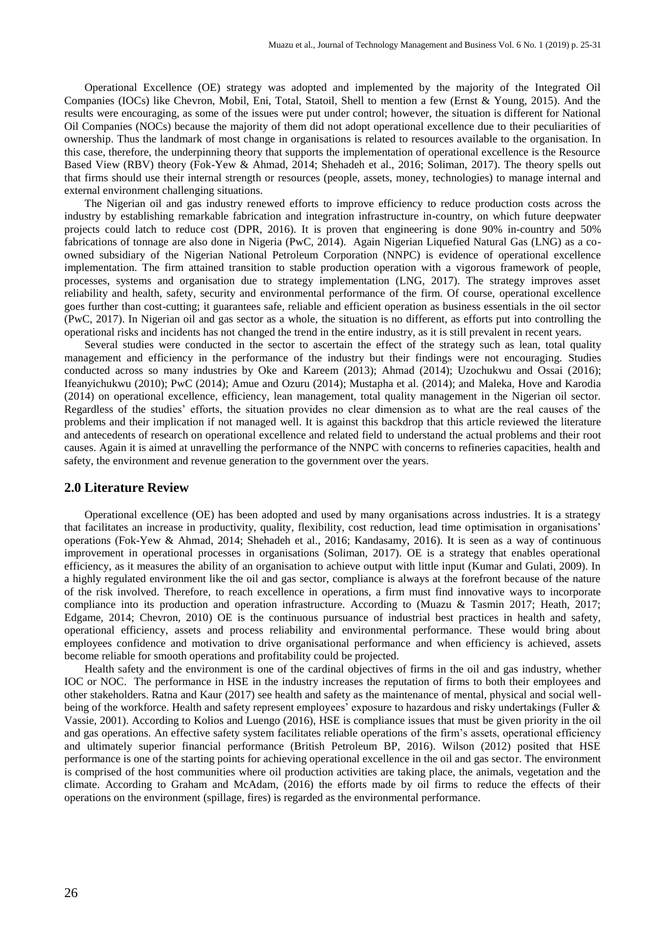Operational Excellence (OE) strategy was adopted and implemented by the majority of the Integrated Oil Companies (IOCs) like Chevron, Mobil, Eni, Total, Statoil, Shell to mention a few (Ernst & Young, 2015). And the results were encouraging, as some of the issues were put under control; however, the situation is different for National Oil Companies (NOCs) because the majority of them did not adopt operational excellence due to their peculiarities of ownership. Thus the landmark of most change in organisations is related to resources available to the organisation. In this case, therefore, the underpinning theory that supports the implementation of operational excellence is the Resource Based View (RBV) theory (Fok-Yew & Ahmad, 2014; Shehadeh et al., 2016; Soliman, 2017). The theory spells out that firms should use their internal strength or resources (people, assets, money, technologies) to manage internal and external environment challenging situations.

The Nigerian oil and gas industry renewed efforts to improve efficiency to reduce production costs across the industry by establishing remarkable fabrication and integration infrastructure in-country, on which future deepwater projects could latch to reduce cost (DPR, 2016). It is proven that engineering is done 90% in-country and 50% fabrications of tonnage are also done in Nigeria (PwC, 2014). Again Nigerian Liquefied Natural Gas (LNG) as a coowned subsidiary of the Nigerian National Petroleum Corporation (NNPC) is evidence of operational excellence implementation. The firm attained transition to stable production operation with a vigorous framework of people, processes, systems and organisation due to strategy implementation (LNG, 2017). The strategy improves asset reliability and health, safety, security and environmental performance of the firm. Of course, operational excellence goes further than cost-cutting; it guarantees safe, reliable and efficient operation as business essentials in the oil sector (PwC, 2017). In Nigerian oil and gas sector as a whole, the situation is no different, as efforts put into controlling the operational risks and incidents has not changed the trend in the entire industry, as it is still prevalent in recent years.

Several studies were conducted in the sector to ascertain the effect of the strategy such as lean, total quality management and efficiency in the performance of the industry but their findings were not encouraging. Studies conducted across so many industries by Oke and Kareem (2013); Ahmad (2014); Uzochukwu and Ossai (2016); Ifeanyichukwu (2010); PwC (2014); Amue and Ozuru (2014); Mustapha et al. (2014); and Maleka, Hove and Karodia (2014) on operational excellence, efficiency, lean management, total quality management in the Nigerian oil sector. Regardless of the studies' efforts, the situation provides no clear dimension as to what are the real causes of the problems and their implication if not managed well. It is against this backdrop that this article reviewed the literature and antecedents of research on operational excellence and related field to understand the actual problems and their root causes. Again it is aimed at unravelling the performance of the NNPC with concerns to refineries capacities, health and safety, the environment and revenue generation to the government over the years.

#### **2.0 Literature Review**

Operational excellence (OE) has been adopted and used by many organisations across industries. It is a strategy that facilitates an increase in productivity, quality, flexibility, cost reduction, lead time optimisation in organisations' operations (Fok-Yew & Ahmad, 2014; Shehadeh et al., 2016; Kandasamy, 2016). It is seen as a way of continuous improvement in operational processes in organisations (Soliman, 2017). OE is a strategy that enables operational efficiency, as it measures the ability of an organisation to achieve output with little input (Kumar and Gulati, 2009). In a highly regulated environment like the oil and gas sector, compliance is always at the forefront because of the nature of the risk involved. Therefore, to reach excellence in operations, a firm must find innovative ways to incorporate compliance into its production and operation infrastructure. According to (Muazu & Tasmin 2017; Heath, 2017; Edgame, 2014; Chevron, 2010) OE is the continuous pursuance of industrial best practices in health and safety, operational efficiency, assets and process reliability and environmental performance. These would bring about employees confidence and motivation to drive organisational performance and when efficiency is achieved, assets become reliable for smooth operations and profitability could be projected.

Health safety and the environment is one of the cardinal objectives of firms in the oil and gas industry, whether IOC or NOC. The performance in HSE in the industry increases the reputation of firms to both their employees and other stakeholders. Ratna and Kaur (2017) see health and safety as the maintenance of mental, physical and social wellbeing of the workforce. Health and safety represent employees' exposure to hazardous and risky undertakings (Fuller & Vassie, 2001). According to Kolios and Luengo (2016), HSE is compliance issues that must be given priority in the oil and gas operations. An effective safety system facilitates reliable operations of the firm's assets, operational efficiency and ultimately superior financial performance (British Petroleum BP, 2016). Wilson (2012) posited that HSE performance is one of the starting points for achieving operational excellence in the oil and gas sector. The environment is comprised of the host communities where oil production activities are taking place, the animals, vegetation and the climate. According to Graham and McAdam, (2016) the efforts made by oil firms to reduce the effects of their operations on the environment (spillage, fires) is regarded as the environmental performance.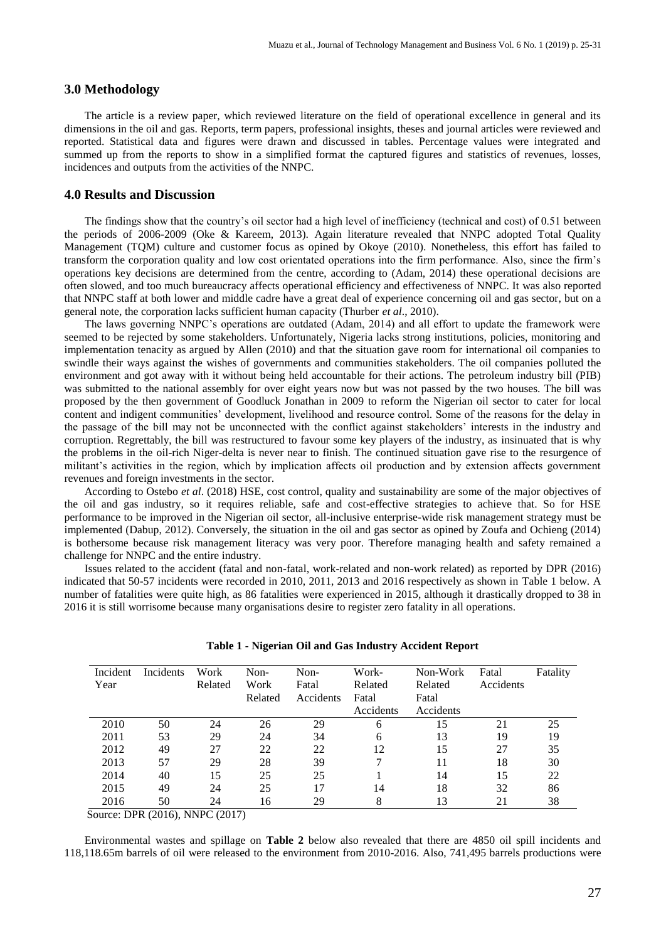#### **3.0 Methodology**

The article is a review paper, which reviewed literature on the field of operational excellence in general and its dimensions in the oil and gas. Reports, term papers, professional insights, theses and journal articles were reviewed and reported. Statistical data and figures were drawn and discussed in tables. Percentage values were integrated and summed up from the reports to show in a simplified format the captured figures and statistics of revenues, losses, incidences and outputs from the activities of the NNPC.

#### **4.0 Results and Discussion**

The findings show that the country's oil sector had a high level of inefficiency (technical and cost) of 0.51 between the periods of 2006-2009 (Oke & Kareem, 2013). Again literature revealed that NNPC adopted Total Quality Management (TQM) culture and customer focus as opined by Okoye (2010). Nonetheless, this effort has failed to transform the corporation quality and low cost orientated operations into the firm performance. Also, since the firm's operations key decisions are determined from the centre, according to (Adam, 2014) these operational decisions are often slowed, and too much bureaucracy affects operational efficiency and effectiveness of NNPC. It was also reported that NNPC staff at both lower and middle cadre have a great deal of experience concerning oil and gas sector, but on a general note, the corporation lacks sufficient human capacity (Thurber *et al*., 2010).

The laws governing NNPC's operations are outdated (Adam, 2014) and all effort to update the framework were seemed to be rejected by some stakeholders. Unfortunately, Nigeria lacks strong institutions, policies, monitoring and implementation tenacity as argued by Allen (2010) and that the situation gave room for international oil companies to swindle their ways against the wishes of governments and communities stakeholders. The oil companies polluted the environment and got away with it without being held accountable for their actions. The petroleum industry bill (PIB) was submitted to the national assembly for over eight years now but was not passed by the two houses. The bill was proposed by the then government of Goodluck Jonathan in 2009 to reform the Nigerian oil sector to cater for local content and indigent communities' development, livelihood and resource control. Some of the reasons for the delay in the passage of the bill may not be unconnected with the conflict against stakeholders' interests in the industry and corruption. Regrettably, the bill was restructured to favour some key players of the industry, as insinuated that is why the problems in the oil-rich Niger-delta is never near to finish. The continued situation gave rise to the resurgence of militant's activities in the region, which by implication affects oil production and by extension affects government revenues and foreign investments in the sector.

According to Ostebo *et al*. (2018) HSE, cost control, quality and sustainability are some of the major objectives of the oil and gas industry, so it requires reliable, safe and cost-effective strategies to achieve that. So for HSE performance to be improved in the Nigerian oil sector, all-inclusive enterprise-wide risk management strategy must be implemented (Dabup, 2012). Conversely, the situation in the oil and gas sector as opined by Zoufa and Ochieng (2014) is bothersome because risk management literacy was very poor. Therefore managing health and safety remained a challenge for NNPC and the entire industry.

Issues related to the accident (fatal and non-fatal, work-related and non-work related) as reported by DPR (2016) indicated that 50-57 incidents were recorded in 2010, 2011, 2013 and 2016 respectively as shown in Table 1 below. A number of fatalities were quite high, as 86 fatalities were experienced in 2015, although it drastically dropped to 38 in 2016 it is still worrisome because many organisations desire to register zero fatality in all operations.

| Incident<br>Year | Incidents | Work<br>Related | Non-<br>Work<br>Related | Non-<br>Fatal<br>Accidents | Work-<br>Related<br>Fatal<br>Accidents | Non-Work<br>Related<br>Fatal<br>Accidents | Fatal<br>Accidents | Fatality |
|------------------|-----------|-----------------|-------------------------|----------------------------|----------------------------------------|-------------------------------------------|--------------------|----------|
| 2010             | 50        | 24              | 26                      | 29                         | 6                                      | 15                                        | 21                 | 25       |
| 2011             | 53        | 29              | 24                      | 34                         | 6                                      | 13                                        | 19                 | 19       |
| 2012             | 49        | 27              | 22                      | 22                         | 12                                     | 15                                        | 27                 | 35       |
| 2013             | 57        | 29              | 28                      | 39                         | 7                                      | 11                                        | 18                 | 30       |
| 2014             | 40        | 15              | 25                      | 25                         |                                        | 14                                        | 15                 | 22       |
| 2015             | 49        | 24              | 25                      |                            | 14                                     | 18                                        | 32                 | 86       |
| 2016             | 50        | 24              | 16                      | 29                         | 8                                      | 13                                        | 21                 | 38       |

|  |  |  |  |  | Table 1 - Nigerian Oil and Gas Industry Accident Report |  |
|--|--|--|--|--|---------------------------------------------------------|--|
|  |  |  |  |  |                                                         |  |

Source: DPR (2016), NNPC (2017)

Environmental wastes and spillage on **Table 2** below also revealed that there are 4850 oil spill incidents and 118,118.65m barrels of oil were released to the environment from 2010-2016. Also, 741,495 barrels productions were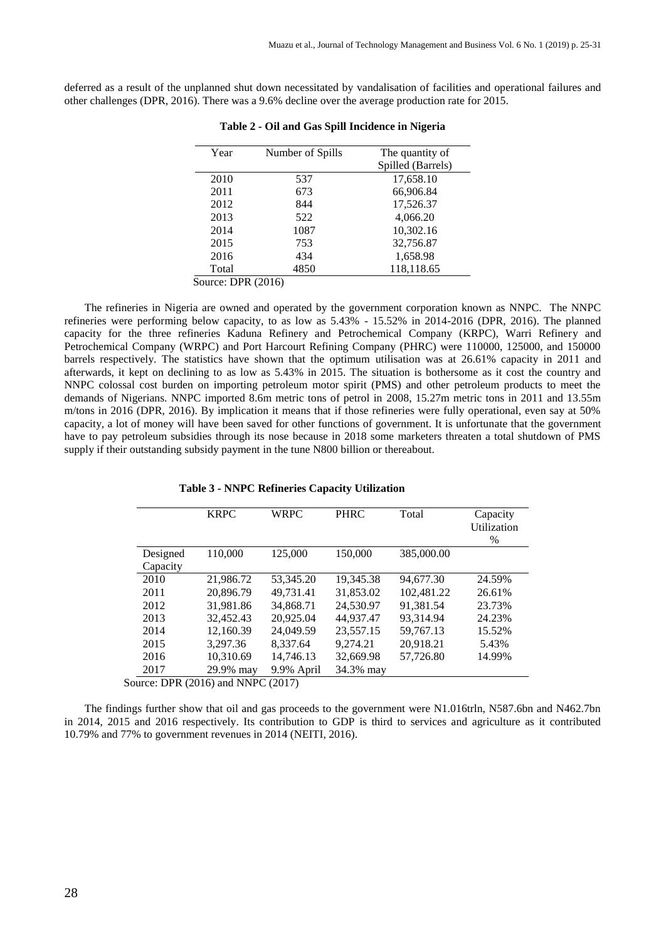deferred as a result of the unplanned shut down necessitated by vandalisation of facilities and operational failures and other challenges (DPR, 2016). There was a 9.6% decline over the average production rate for 2015.

| Year  | Number of Spills       | The quantity of   |
|-------|------------------------|-------------------|
|       |                        | Spilled (Barrels) |
| 2010  | 537                    | 17,658.10         |
| 2011  | 673                    | 66,906.84         |
| 2012  | 844                    | 17,526.37         |
| 2013  | 522                    | 4,066.20          |
| 2014  | 1087                   | 10,302.16         |
| 2015  | 753                    | 32,756.87         |
| 2016  | 434                    | 1,658.98          |
| Total | 4850                   | 118,118.65        |
|       | $P_{P}P_{P}$ $(0.01C)$ |                   |

| Table 2 - Oil and Gas Spill Incidence in Nigeria |  |  |  |
|--------------------------------------------------|--|--|--|
|--------------------------------------------------|--|--|--|

Source: DPR (2016)

The refineries in Nigeria are owned and operated by the government corporation known as NNPC. The NNPC refineries were performing below capacity, to as low as 5.43% - 15.52% in 2014-2016 (DPR, 2016). The planned capacity for the three refineries Kaduna Refinery and Petrochemical Company (KRPC), Warri Refinery and Petrochemical Company (WRPC) and Port Harcourt Refining Company (PHRC) were 110000, 125000, and 150000 barrels respectively. The statistics have shown that the optimum utilisation was at 26.61% capacity in 2011 and afterwards, it kept on declining to as low as 5.43% in 2015. The situation is bothersome as it cost the country and NNPC colossal cost burden on importing petroleum motor spirit (PMS) and other petroleum products to meet the demands of Nigerians. NNPC imported 8.6m metric tons of petrol in 2008, 15.27m metric tons in 2011 and 13.55m m/tons in 2016 (DPR, 2016). By implication it means that if those refineries were fully operational, even say at 50% capacity, a lot of money will have been saved for other functions of government. It is unfortunate that the government have to pay petroleum subsidies through its nose because in 2018 some marketers threaten a total shutdown of PMS supply if their outstanding subsidy payment in the tune N800 billion or thereabout.

#### **Table 3 - NNPC Refineries Capacity Utilization**

| 110,000<br>125,000<br>150,000<br>385,000.00<br>Designed<br>Capacity<br>21,986.72<br>53,345.20<br>19,345.38<br>94,677.30<br>2010<br>49,731.41<br>31,853.02<br>102,481.22<br>20,896.79<br>2011<br>26.61%<br>31,981.86<br>34,868.71<br>24,530.97<br>91.381.54<br>2012<br>32,452.43<br>2013<br>20.925.04<br>44.937.47<br>93.314.94<br>24.23%<br>12,160.39<br>23,557.15<br>59,767.13<br>2014<br>24,049.59<br>15.52%<br>20,918.21<br>3.297.36<br>8.337.64<br>9.274.21<br>2015<br>5.43% | <b>KRPC</b> | <b>WRPC</b> | <b>PHRC</b> | Total | Capacity<br>Utilization<br>$\%$ |
|----------------------------------------------------------------------------------------------------------------------------------------------------------------------------------------------------------------------------------------------------------------------------------------------------------------------------------------------------------------------------------------------------------------------------------------------------------------------------------|-------------|-------------|-------------|-------|---------------------------------|
|                                                                                                                                                                                                                                                                                                                                                                                                                                                                                  |             |             |             |       |                                 |
|                                                                                                                                                                                                                                                                                                                                                                                                                                                                                  |             |             |             |       |                                 |
|                                                                                                                                                                                                                                                                                                                                                                                                                                                                                  |             |             |             |       | 24.59%                          |
|                                                                                                                                                                                                                                                                                                                                                                                                                                                                                  |             |             |             |       |                                 |
|                                                                                                                                                                                                                                                                                                                                                                                                                                                                                  |             |             |             |       | 23.73%                          |
|                                                                                                                                                                                                                                                                                                                                                                                                                                                                                  |             |             |             |       |                                 |
|                                                                                                                                                                                                                                                                                                                                                                                                                                                                                  |             |             |             |       |                                 |
|                                                                                                                                                                                                                                                                                                                                                                                                                                                                                  |             |             |             |       |                                 |
| 10,310.69<br>14,746.13<br>32,669.98<br>57,726.80<br>14.99%<br>2016                                                                                                                                                                                                                                                                                                                                                                                                               |             |             |             |       |                                 |
| 2017<br>29.9% may<br>9.9% April<br>34.3% may                                                                                                                                                                                                                                                                                                                                                                                                                                     |             |             |             |       |                                 |

Source: DPR (2016) and NNPC (2017)

The findings further show that oil and gas proceeds to the government were N1.016trln, N587.6bn and N462.7bn in 2014, 2015 and 2016 respectively. Its contribution to GDP is third to services and agriculture as it contributed 10.79% and 77% to government revenues in 2014 (NEITI, 2016).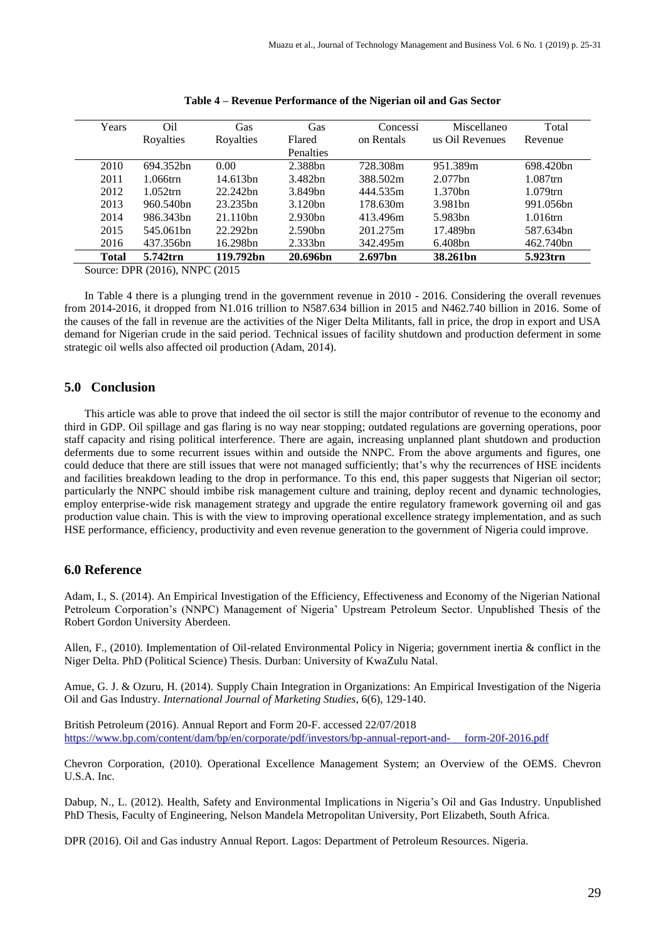| Years        | Oil         | Gas         | Gas                  | Concessi            | Miscellaneo         | Total       |
|--------------|-------------|-------------|----------------------|---------------------|---------------------|-------------|
|              | Royalties   | Royalties   | Flared               | on Rentals          | us Oil Revenues     | Revenue     |
|              |             |             | Penalties            |                     |                     |             |
| 2010         | 694.352bn   | 0.00        | 2.388bn              | 728.308m            | 951.389m            | 698.420bn   |
| 2011         | $1.066$ trn | 14.613bn    | 3.482bn              | 388.502m            | $2.077$ bn          | $1.087$ trn |
| 2012         | $1.052$ trn | 22.242bn    | 3.849bn              | 444.535m            | 1.370 <sub>bn</sub> | $1.079$ trn |
| 2013         | 960.540bn   | 23.235bn    | 3.120 <sub>bn</sub>  | 178.630m            | 3.981 <sub>bn</sub> | 991.056bn   |
| 2014         | 986.343bn   | $21.110$ hn | 2.930 <sub>bn</sub>  | 413.496m            | 5.983 <sub>bn</sub> | $1.016$ trn |
| 2015         | 545.061bn   | 22.292bn    | 2.590 <sub>bn</sub>  | 201.275m            | 17.489bn            | 587.634bn   |
| 2016         | 437.356bn   | 16.298bn    | $2.333$ bn           | 342.495m            | $6.408$ bn          | 462.740bn   |
| <b>Total</b> | 5.742trn    | 119.792bn   | 20.696 <sub>bn</sub> | 2.697 <sub>bn</sub> | 38.261bn            | 5.923trn    |

Source: DPR (2016), NNPC (2015

In Table 4 there is a plunging trend in the government revenue in 2010 - 2016. Considering the overall revenues from 2014-2016, it dropped from N1.016 trillion to N587.634 billion in 2015 and N462.740 billion in 2016. Some of the causes of the fall in revenue are the activities of the Niger Delta Militants, fall in price, the drop in export and USA demand for Nigerian crude in the said period. Technical issues of facility shutdown and production deferment in some strategic oil wells also affected oil production (Adam, 2014).

#### **5.0 Conclusion**

This article was able to prove that indeed the oil sector is still the major contributor of revenue to the economy and third in GDP. Oil spillage and gas flaring is no way near stopping; outdated regulations are governing operations, poor staff capacity and rising political interference. There are again, increasing unplanned plant shutdown and production deferments due to some recurrent issues within and outside the NNPC. From the above arguments and figures, one could deduce that there are still issues that were not managed sufficiently; that's why the recurrences of HSE incidents and facilities breakdown leading to the drop in performance. To this end, this paper suggests that Nigerian oil sector; particularly the NNPC should imbibe risk management culture and training, deploy recent and dynamic technologies, employ enterprise-wide risk management strategy and upgrade the entire regulatory framework governing oil and gas production value chain. This is with the view to improving operational excellence strategy implementation, and as such HSE performance, efficiency, productivity and even revenue generation to the government of Nigeria could improve.

### **6.0 Reference**

Adam, I., S. (2014). An Empirical Investigation of the Efficiency, Effectiveness and Economy of the Nigerian National Petroleum Corporation's (NNPC) Management of Nigeria' Upstream Petroleum Sector. Unpublished Thesis of the Robert Gordon University Aberdeen.

Allen, F., (2010). Implementation of Oil-related Environmental Policy in Nigeria; government inertia & conflict in the Niger Delta. PhD (Political Science) Thesis. Durban: University of KwaZulu Natal.

Amue, G. J. & Ozuru, H. (2014). Supply Chain Integration in Organizations: An Empirical Investigation of the Nigeria Oil and Gas Industry. *International Journal of Marketing Studies*, 6(6), 129-140.

British Petroleum (2016). Annual Report and Form 20-F. accessed 22/07/2018 [https://www.bp.com/content/dam/bp/en/corporate/pdf/investors/bp-annual-report-and- form-20f-2016.pdf](https://www.bp.com/content/dam/bp/en/corporate/pdf/investors/bp-annual-report-and-%20%20%20%20%20form-20f-2016.pdf)

Chevron Corporation, (2010). Operational Excellence Management System; an Overview of the OEMS. Chevron U.S.A. Inc.

Dabup, N., L. (2012). Health, Safety and Environmental Implications in Nigeria's Oil and Gas Industry. Unpublished PhD Thesis, Faculty of Engineering, Nelson Mandela Metropolitan University, Port Elizabeth, South Africa.

DPR (2016). Oil and Gas industry Annual Report. Lagos: Department of Petroleum Resources. Nigeria.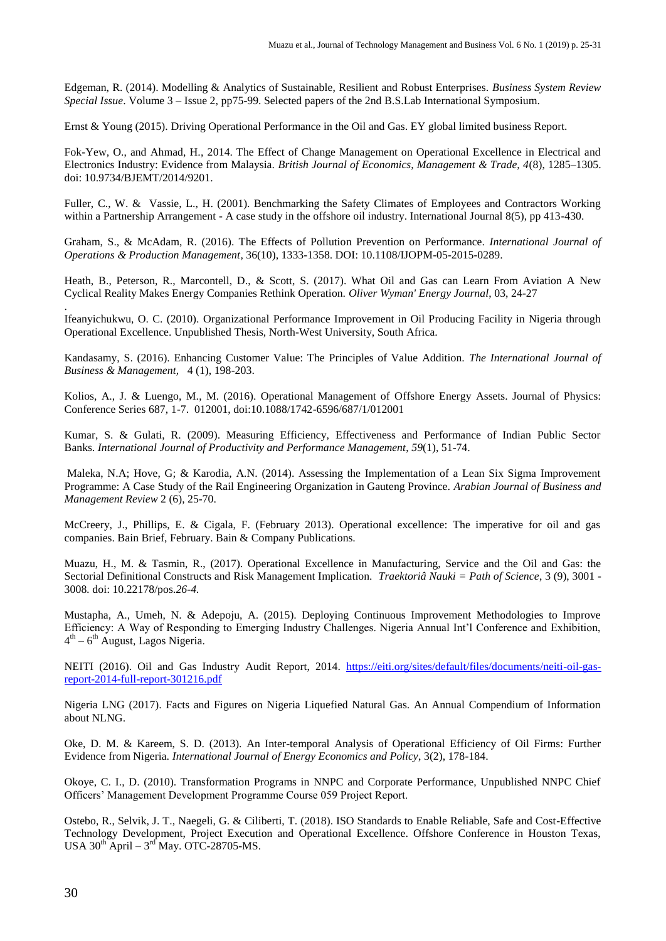Edgeman, R. (2014). Modelling & Analytics of Sustainable, Resilient and Robust Enterprises. *Business System Review Special Issue*. Volume 3 – Issue 2, pp75-99. Selected papers of the 2nd B.S.Lab International Symposium.

Ernst & Young (2015). Driving Operational Performance in the Oil and Gas. EY global limited business Report.

Fok-Yew, O., and Ahmad, H., 2014. The Effect of Change Management on Operational Excellence in Electrical and Electronics Industry: Evidence from Malaysia. *British Journal of Economics, Management & Trade, 4*(8), 1285–1305. doi: 10.9734/BJEMT/2014/9201.

Fuller, C., W. & Vassie, L., H. (2001). Benchmarking the Safety Climates of Employees and Contractors Working within a Partnership Arrangement - A case study in the offshore oil industry. International Journal 8(5), pp 413-430.

Graham, S., & McAdam, R. (2016). The Effects of Pollution Prevention on Performance. *International Journal of Operations & Production Management*, 36(10), 1333-1358. DOI: 10.1108/IJOPM-05-2015-0289.

Heath, B., Peterson, R., Marcontell, D., & Scott, S. (2017). What Oil and Gas can Learn From Aviation A New Cyclical Reality Makes Energy Companies Rethink Operation. *Oliver Wyman' Energy Journal*, 03, 24-27

. Ifeanyichukwu, O. C. (2010). Organizational Performance Improvement in Oil Producing Facility in Nigeria through Operational Excellence. Unpublished Thesis, North-West University, South Africa.

Kandasamy, S. (2016). Enhancing Customer Value: The Principles of Value Addition. *The International Journal of Business & Management,* 4 (1), 198-203.

Kolios, A., J. & Luengo, M., M. (2016). Operational Management of Offshore Energy Assets. Journal of Physics: Conference Series 687, 1-7. 012001, doi:10.1088/1742-6596/687/1/012001

Kumar, S. & Gulati, R. (2009). Measuring Efficiency, Effectiveness and Performance of Indian Public Sector Banks. *International Journal of Productivity and Performance Management*, *59*(1), 51-74.

Maleka, N.A; Hove, G; & Karodia, A.N. (2014). Assessing the Implementation of a Lean Six Sigma Improvement Programme: A Case Study of the Rail Engineering Organization in Gauteng Province. *Arabian Journal of Business and Management Review* 2 (6), 25-70.

McCreery, J., Phillips, E. & Cigala, F. (February 2013). Operational excellence: The imperative for oil and gas companies. Bain Brief, February. Bain & Company Publications.

Muazu, H., M. & Tasmin, R., (2017). Operational Excellence in Manufacturing, Service and the Oil and Gas: the Sectorial Definitional Constructs and Risk Management Implication. *Traektoriâ Nauki = Path of Science*, 3 (9), 3001 - 3008*.* doi: 10.22178/pos.*26-4.*

Mustapha, A., Umeh, N. & Adepoju, A. (2015). Deploying Continuous Improvement Methodologies to Improve Efficiency: A Way of Responding to Emerging Industry Challenges. Nigeria Annual Int'l Conference and Exhibition, 4<sup>th</sup> – 6<sup>th</sup> August, Lagos Nigeria.

NEITI (2016). Oil and Gas Industry Audit Report, 2014. [https://eiti.org/sites/default/files/documents/neiti-oil-gas](https://eiti.org/sites/default/files/documents/neiti-oil-gas-report-2014-full-report-301216.pdf)[report-2014-full-report-301216.pdf](https://eiti.org/sites/default/files/documents/neiti-oil-gas-report-2014-full-report-301216.pdf)

Nigeria LNG (2017). Facts and Figures on Nigeria Liquefied Natural Gas. An Annual Compendium of Information about NLNG.

Oke, D. M. & Kareem, S. D. (2013). An Inter-temporal Analysis of Operational Efficiency of Oil Firms: Further Evidence from Nigeria. *International Journal of Energy Economics and Policy*, 3(2), 178-184.

Okoye, C. I., D. (2010). Transformation Programs in NNPC and Corporate Performance, Unpublished NNPC Chief Officers' Management Development Programme Course 059 Project Report.

Ostebo, R., Selvik, J. T., Naegeli, G. & Ciliberti, T. (2018). ISO Standards to Enable Reliable, Safe and Cost-Effective Technology Development, Project Execution and Operational Excellence. Offshore Conference in Houston Texas, USA  $30^{th}$  April –  $3^{rd}$  May. OTC-28705-MS.